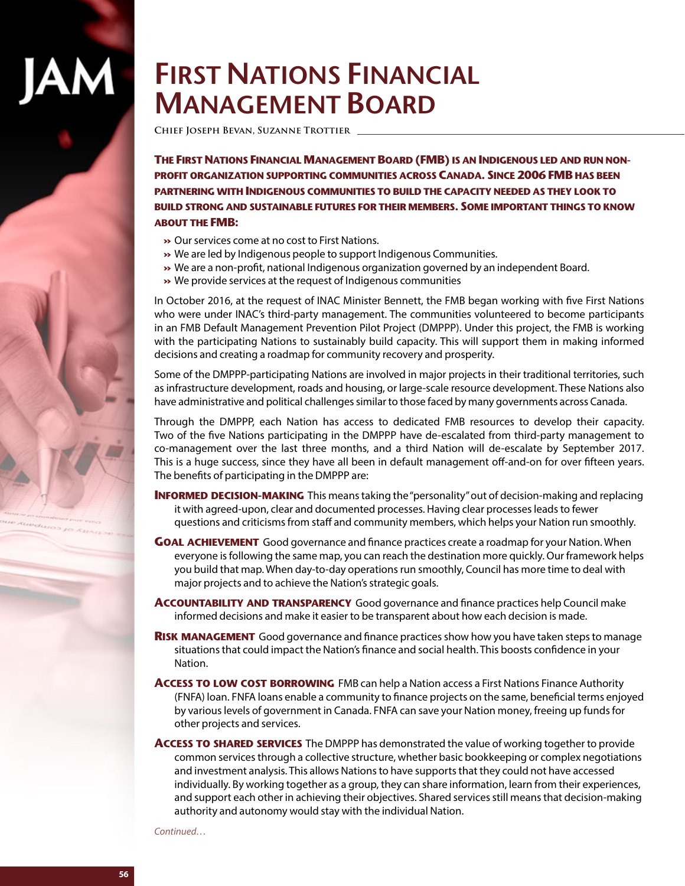# **First Nations Financial Management Board**

**Chief Joseph Bevan, Suzanne Trottier** 

AM

**The First Nations Financial Management Board (FMB) is an Indigenous led and run nonprofit organization supporting communities across Canada. Since 2006 FMB has been partnering with Indigenous communities to build the capacity needed as they look to build strong and sustainable futures for their members. Some important things to know about the FMB:** 

- **»** Our services come at no cost to First Nations.
- **»** We are led by Indigenous people to support Indigenous Communities.
- **»** We are a non-profit, national Indigenous organization governed by an independent Board.
- **»** We provide services at the request of Indigenous communities

In October 2016, at the request of INAC Minister Bennett, the FMB began working with five First Nations who were under INAC's third-party management. The communities volunteered to become participants in an FMB Default Management Prevention Pilot Project (DMPPP). Under this project, the FMB is working with the participating Nations to sustainably build capacity. This will support them in making informed decisions and creating a roadmap for community recovery and prosperity.

Some of the DMPPP-participating Nations are involved in major projects in their traditional territories, such as infrastructure development, roads and housing, or large-scale resource development. These Nations also have administrative and political challenges similar to those faced by many governments across Canada.

Through the DMPPP, each Nation has access to dedicated FMB resources to develop their capacity. Two of the five Nations participating in the DMPPP have de-escalated from third-party management to co-management over the last three months, and a third Nation will de-escalate by September 2017. This is a huge success, since they have all been in default management off-and-on for over fifteen years. The benefits of participating in the DMPPP are:

- **INFORMED DECISION-MAKING** This means taking the "personality" out of decision-making and replacing it with agreed-upon, clear and documented processes. Having clear processes leads to fewer questions and criticisms from staff and community members, which helps your Nation run smoothly.
- **Goal achievement** Good governance and finance practices create a roadmap for your Nation. When everyone is following the same map, you can reach the destination more quickly. Our framework helps you build that map. When day-to-day operations run smoothly, Council has more time to deal with major projects and to achieve the Nation's strategic goals.
- **Accountability and transparency** Good governance and finance practices help Council make informed decisions and make it easier to be transparent about how each decision is made.
- **RISK MANAGEMENT** Good governance and finance practices show how you have taken steps to manage situations that could impact the Nation's finance and social health. This boosts confidence in your Nation.
- **Access to low cost borrowing** FMB can help a Nation access a First Nations Finance Authority (FNFA) loan. FNFA loans enable a community to finance projects on the same, beneficial terms enjoyed by various levels of government in Canada. FNFA can save your Nation money, freeing up funds for other projects and services.
- **Access to shared services** The DMPPP has demonstrated the value of working together to provide common services through a collective structure, whether basic bookkeeping or complex negotiations and investment analysis. This allows Nations to have supports that they could not have accessed individually. By working together as a group, they can share information, learn from their experiences, and support each other in achieving their objectives. Shared services still means that decision-making authority and autonomy would stay with the individual Nation.

*Continued…*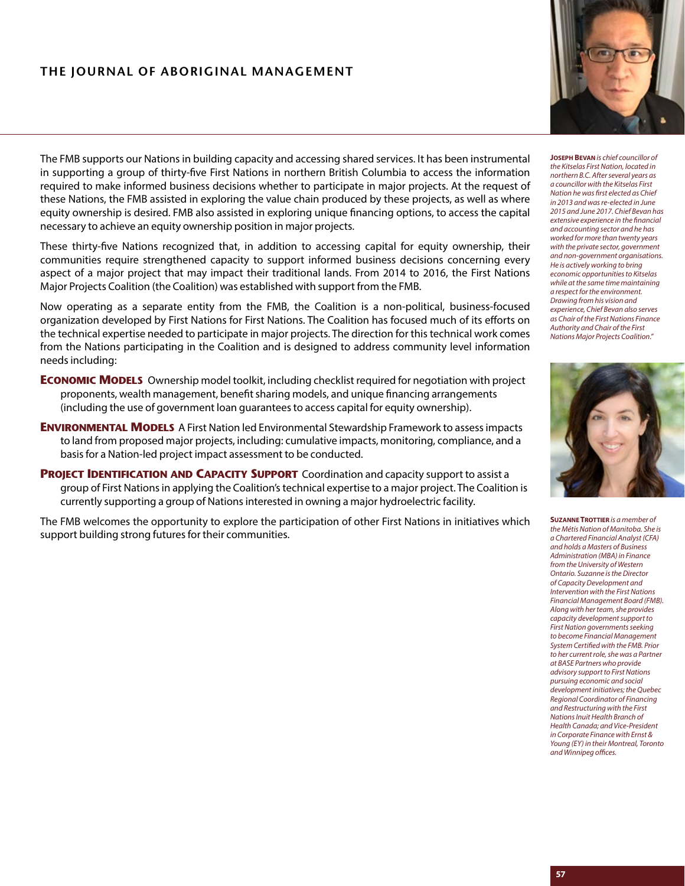#### **THE JOURNAL OF ABORIGINAL MANAGEMENT**



The FMB supports our Nations in building capacity and accessing shared services. It has been instrumental in supporting a group of thirty-five First Nations in northern British Columbia to access the information required to make informed business decisions whether to participate in major projects. At the request of these Nations, the FMB assisted in exploring the value chain produced by these projects, as well as where equity ownership is desired. FMB also assisted in exploring unique financing options, to access the capital necessary to achieve an equity ownership position in major projects.

These thirty-five Nations recognized that, in addition to accessing capital for equity ownership, their communities require strengthened capacity to support informed business decisions concerning every aspect of a major project that may impact their traditional lands. From 2014 to 2016, the First Nations Major Projects Coalition (the Coalition) was established with support from the FMB.

Now operating as a separate entity from the FMB, the Coalition is a non-political, business-focused organization developed by First Nations for First Nations. The Coalition has focused much of its efforts on the technical expertise needed to participate in major projects. The direction for this technical work comes from the Nations participating in the Coalition and is designed to address community level information needs including:

- **ECONOMIC MODELS** Ownership model toolkit, including checklist required for negotiation with project proponents, wealth management, benefit sharing models, and unique financing arrangements (including the use of government loan guarantees to access capital for equity ownership).
- **ENVIRONMENTAL MODELS** A First Nation led Environmental Stewardship Framework to assess impacts to land from proposed major projects, including: cumulative impacts, monitoring, compliance, and a basis for a Nation-led project impact assessment to be conducted.
- **Project Identification and Capacity Support** Coordination and capacity support to assist a group of First Nations in applying the Coalition's technical expertise to a major project. The Coalition is currently supporting a group of Nations interested in owning a major hydroelectric facility.

The FMB welcomes the opportunity to explore the participation of other First Nations in initiatives which support building strong futures for their communities.

**Joseph Bevan** *is chief councillor of the Kitselas First Nation, located in northern B.C. After several years as a councillor with the Kitselas First Nation he was first elected as Chief in 2013 and was re-elected in June 2015 and June 2017. Chief Bevan has extensive experience in the financial and accounting sector and he has worked for more than twenty years with the private sector, government and non-government organisations. He is actively working to bring economic opportunities to Kitselas while at the same time maintaining a respect for the environment. Drawing from his vision and experience, Chief Bevan also serves as Chair of the First Nations Finance Authority and Chair of the First Nations Major Projects Coalition."*



**SUZANNE TROTTIER** is a member of *the Métis Nation of Manitoba. She is a Chartered Financial Analyst (CFA) and holds a Masters of Business Administration (MBA) in Finance from the University of Western Ontario. Suzanne is the Director of Capacity Development and Intervention with the First Nations Financial Management Board (FMB). Along with her team, she provides capacity development support to First Nation governments seeking to become Financial Management System Certified with the FMB. Prior to her current role, she was a Partner at BASE Partners who provide advisory support to First Nations pursuing economic and social development initiatives; the Quebec Regional Coordinator of Financing and Restructuring with the First Nations Inuit Health Branch of Health Canada; and Vice-President in Corporate Finance with Ernst & Young (EY) in their Montreal, Toronto and Winnipeg offices.*